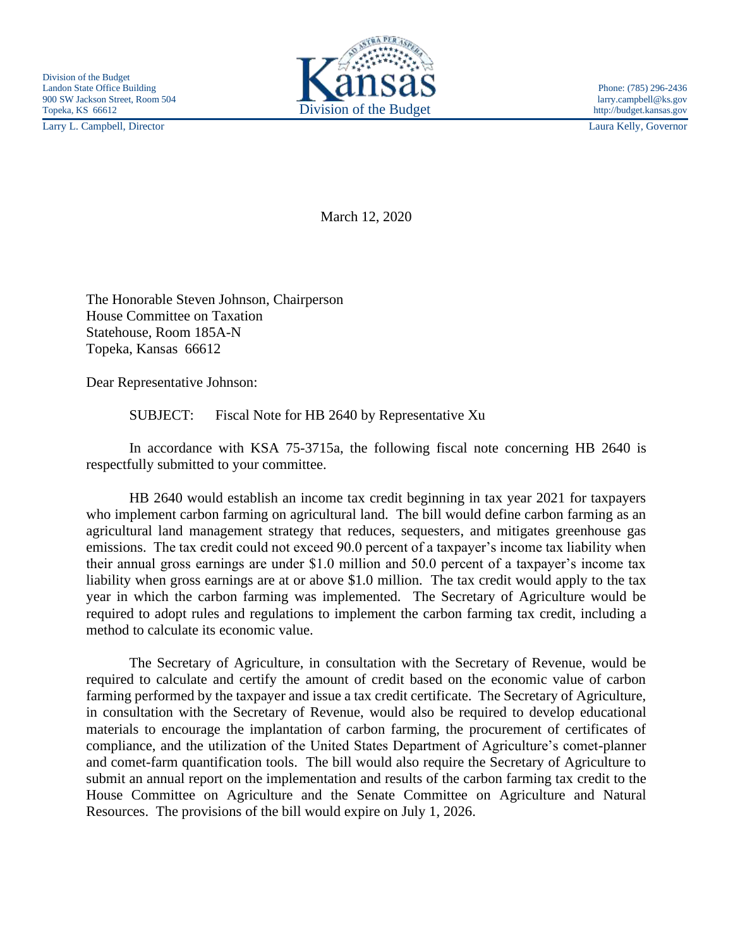Larry L. Campbell, Director Laura Kelly, Governor



March 12, 2020

The Honorable Steven Johnson, Chairperson House Committee on Taxation Statehouse, Room 185A-N Topeka, Kansas 66612

Dear Representative Johnson:

SUBJECT: Fiscal Note for HB 2640 by Representative Xu

In accordance with KSA 75-3715a, the following fiscal note concerning HB 2640 is respectfully submitted to your committee.

HB 2640 would establish an income tax credit beginning in tax year 2021 for taxpayers who implement carbon farming on agricultural land. The bill would define carbon farming as an agricultural land management strategy that reduces, sequesters, and mitigates greenhouse gas emissions. The tax credit could not exceed 90.0 percent of a taxpayer's income tax liability when their annual gross earnings are under \$1.0 million and 50.0 percent of a taxpayer's income tax liability when gross earnings are at or above \$1.0 million. The tax credit would apply to the tax year in which the carbon farming was implemented. The Secretary of Agriculture would be required to adopt rules and regulations to implement the carbon farming tax credit, including a method to calculate its economic value.

The Secretary of Agriculture, in consultation with the Secretary of Revenue, would be required to calculate and certify the amount of credit based on the economic value of carbon farming performed by the taxpayer and issue a tax credit certificate. The Secretary of Agriculture, in consultation with the Secretary of Revenue, would also be required to develop educational materials to encourage the implantation of carbon farming, the procurement of certificates of compliance, and the utilization of the United States Department of Agriculture's comet-planner and comet-farm quantification tools. The bill would also require the Secretary of Agriculture to submit an annual report on the implementation and results of the carbon farming tax credit to the House Committee on Agriculture and the Senate Committee on Agriculture and Natural Resources. The provisions of the bill would expire on July 1, 2026.